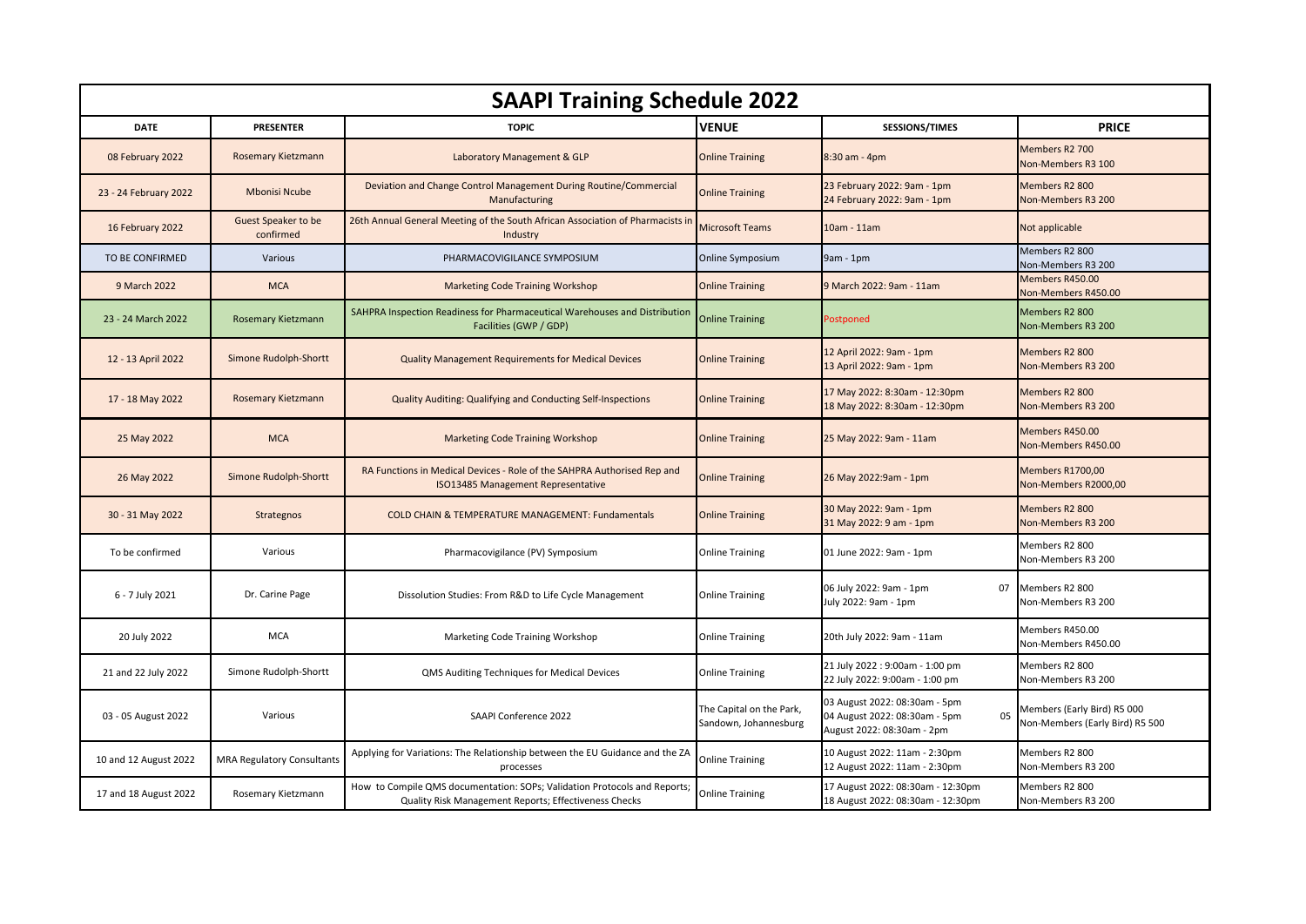| <b>SAAPI Training Schedule 2022</b> |                                   |                                                                                                                                    |                                                   |                                                                                                    |                                                                |  |  |  |
|-------------------------------------|-----------------------------------|------------------------------------------------------------------------------------------------------------------------------------|---------------------------------------------------|----------------------------------------------------------------------------------------------------|----------------------------------------------------------------|--|--|--|
| <b>DATE</b>                         | <b>PRESENTER</b>                  | <b>TOPIC</b>                                                                                                                       | <b>VENUE</b>                                      | <b>SESSIONS/TIMES</b>                                                                              | <b>PRICE</b>                                                   |  |  |  |
| 08 February 2022                    | <b>Rosemary Kietzmann</b>         | Laboratory Management & GLP                                                                                                        | <b>Online Training</b>                            | 8:30 am - 4pm                                                                                      | Members R2 700<br>Non-Members R3 100                           |  |  |  |
| 23 - 24 February 2022               | <b>Mbonisi Ncube</b>              | Deviation and Change Control Management During Routine/Commercial<br>Manufacturing                                                 | <b>Online Training</b>                            | 23 February 2022: 9am - 1pm<br>24 February 2022: 9am - 1pm                                         | Members R2 800<br>Non-Members R3 200                           |  |  |  |
| 16 February 2022                    | Guest Speaker to be<br>confirmed  | 26th Annual General Meeting of the South African Association of Pharmacists in<br>Industry                                         | <b>Microsoft Teams</b>                            | 10am - 11am                                                                                        | Not applicable                                                 |  |  |  |
| TO BE CONFIRMED                     | Various                           | PHARMACOVIGILANCE SYMPOSIUM                                                                                                        | Online Symposium                                  | $9am - 1pm$                                                                                        | Members R2 800<br>Non-Members R3 200                           |  |  |  |
| 9 March 2022                        | <b>MCA</b>                        | <b>Marketing Code Training Workshop</b>                                                                                            | <b>Online Training</b>                            | 9 March 2022: 9am - 11am                                                                           | Members R450.00<br>Non-Members R450.00                         |  |  |  |
| 23 - 24 March 2022                  | Rosemary Kietzmann                | SAHPRA Inspection Readiness for Pharmaceutical Warehouses and Distribution<br>Facilities (GWP / GDP)                               | <b>Online Training</b>                            | Postponed                                                                                          | Members R2 800<br>Non-Members R3 200                           |  |  |  |
| 12 - 13 April 2022                  | Simone Rudolph-Shortt             | <b>Quality Management Requirements for Medical Devices</b>                                                                         | <b>Online Training</b>                            | 12 April 2022: 9am - 1pm<br>13 April 2022: 9am - 1pm                                               | Members R2 800<br>Non-Members R3 200                           |  |  |  |
| 17 - 18 May 2022                    | Rosemary Kietzmann                | Quality Auditing: Qualifying and Conducting Self-Inspections                                                                       | <b>Online Training</b>                            | 17 May 2022: 8:30am - 12:30pm<br>18 May 2022: 8:30am - 12:30pm                                     | Members R2 800<br>Non-Members R3 200                           |  |  |  |
| 25 May 2022                         | <b>MCA</b>                        | <b>Marketing Code Training Workshop</b>                                                                                            | <b>Online Training</b>                            | 25 May 2022: 9am - 11am                                                                            | Members R450.00<br>Non-Members R450.00                         |  |  |  |
| 26 May 2022                         | Simone Rudolph-Shortt             | RA Functions in Medical Devices - Role of the SAHPRA Authorised Rep and<br>ISO13485 Management Representative                      | <b>Online Training</b>                            | 26 May 2022:9am - 1pm                                                                              | <b>Members R1700,00</b><br>Non-Members R2000,00                |  |  |  |
| 30 - 31 May 2022                    | Strategnos                        | <b>COLD CHAIN &amp; TEMPERATURE MANAGEMENT: Fundamentals</b>                                                                       | <b>Online Training</b>                            | 30 May 2022: 9am - 1pm<br>31 May 2022: 9 am - 1pm                                                  | Members R2 800<br>Non-Members R3 200                           |  |  |  |
| To be confirmed                     | Various                           | Pharmacovigilance (PV) Symposium                                                                                                   | <b>Online Training</b>                            | 01 June 2022: 9am - 1pm                                                                            | Members R2 800<br>Non-Members R3 200                           |  |  |  |
| 6 - 7 July 2021                     | Dr. Carine Page                   | Dissolution Studies: From R&D to Life Cycle Management                                                                             | <b>Online Training</b>                            | 06 July 2022: 9am - 1pm<br>07<br>July 2022: 9am - 1pm                                              | Members R2 800<br>Non-Members R3 200                           |  |  |  |
| 20 July 2022                        | <b>MCA</b>                        | Marketing Code Training Workshop                                                                                                   | <b>Online Training</b>                            | 20th July 2022: 9am - 11am                                                                         | Members R450.00<br>Non-Members R450.00                         |  |  |  |
| 21 and 22 July 2022                 | Simone Rudolph-Shortt             | QMS Auditing Techniques for Medical Devices                                                                                        | <b>Online Training</b>                            | 21 July 2022 : 9:00am - 1:00 pm<br>22 July 2022: 9:00am - 1:00 pm                                  | Members R2 800<br>Non-Members R3 200                           |  |  |  |
| 03 - 05 August 2022                 | Various                           | SAAPI Conference 2022                                                                                                              | The Capital on the Park,<br>Sandown, Johannesburg | 03 August 2022: 08:30am - 5pm<br>04 August 2022: 08:30am - 5pm<br>05<br>August 2022: 08:30am - 2pm | Members (Early Bird) R5 000<br>Non-Members (Early Bird) R5 500 |  |  |  |
| 10 and 12 August 2022               | <b>MRA Regulatory Consultants</b> | Applying for Variations: The Relationship between the EU Guidance and the ZA<br>processes                                          | <b>Online Training</b>                            | 10 August 2022: 11am - 2:30pm<br>12 August 2022: 11am - 2:30pm                                     | Members R2 800<br>Non-Members R3 200                           |  |  |  |
| 17 and 18 August 2022               | Rosemary Kietzmann                | How to Compile QMS documentation: SOPs; Validation Protocols and Reports;<br>Quality Risk Management Reports; Effectiveness Checks | <b>Online Training</b>                            | 17 August 2022: 08:30am - 12:30pm<br>18 August 2022: 08:30am - 12:30pm                             | Members R2 800<br>Non-Members R3 200                           |  |  |  |